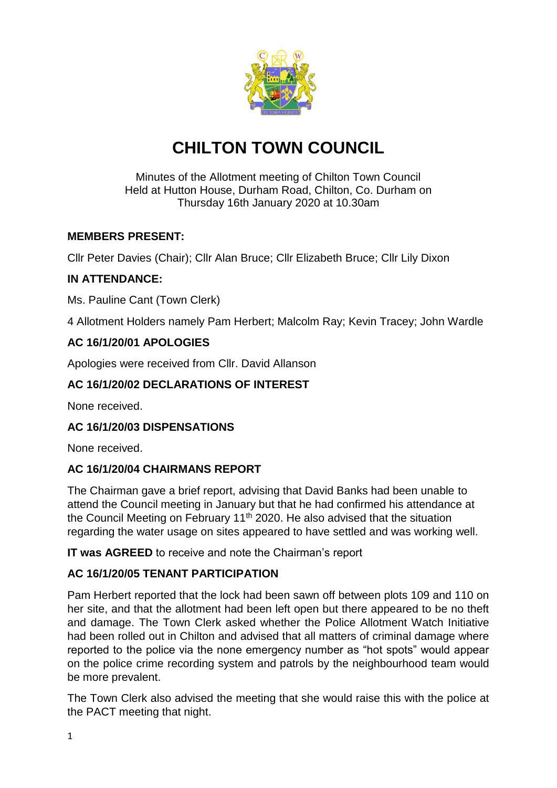

# **CHILTON TOWN COUNCIL**

#### Minutes of the Allotment meeting of Chilton Town Council Held at Hutton House, Durham Road, Chilton, Co. Durham on Thursday 16th January 2020 at 10.30am

## **MEMBERS PRESENT:**

Cllr Peter Davies (Chair); Cllr Alan Bruce; Cllr Elizabeth Bruce; Cllr Lily Dixon

# **IN ATTENDANCE:**

Ms. Pauline Cant (Town Clerk)

4 Allotment Holders namely Pam Herbert; Malcolm Ray; Kevin Tracey; John Wardle

## **AC 16/1/20/01 APOLOGIES**

Apologies were received from Cllr. David Allanson

## **AC 16/1/20/02 DECLARATIONS OF INTEREST**

None received.

#### **AC 16/1/20/03 DISPENSATIONS**

None received.

#### **AC 16/1/20/04 CHAIRMANS REPORT**

The Chairman gave a brief report, advising that David Banks had been unable to attend the Council meeting in January but that he had confirmed his attendance at the Council Meeting on February 11<sup>th</sup> 2020. He also advised that the situation regarding the water usage on sites appeared to have settled and was working well.

**IT was AGREED** to receive and note the Chairman's report

#### **AC 16/1/20/05 TENANT PARTICIPATION**

Pam Herbert reported that the lock had been sawn off between plots 109 and 110 on her site, and that the allotment had been left open but there appeared to be no theft and damage. The Town Clerk asked whether the Police Allotment Watch Initiative had been rolled out in Chilton and advised that all matters of criminal damage where reported to the police via the none emergency number as "hot spots" would appear on the police crime recording system and patrols by the neighbourhood team would be more prevalent.

The Town Clerk also advised the meeting that she would raise this with the police at the PACT meeting that night.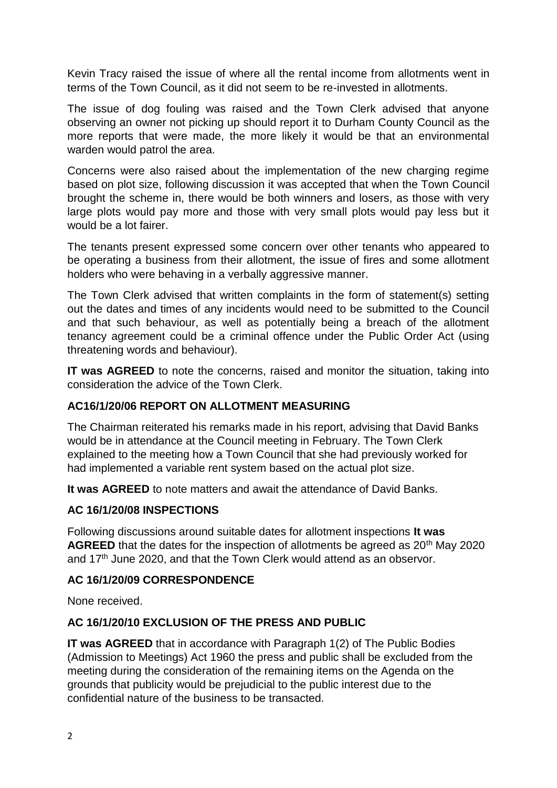Kevin Tracy raised the issue of where all the rental income from allotments went in terms of the Town Council, as it did not seem to be re-invested in allotments.

The issue of dog fouling was raised and the Town Clerk advised that anyone observing an owner not picking up should report it to Durham County Council as the more reports that were made, the more likely it would be that an environmental warden would patrol the area.

Concerns were also raised about the implementation of the new charging regime based on plot size, following discussion it was accepted that when the Town Council brought the scheme in, there would be both winners and losers, as those with very large plots would pay more and those with very small plots would pay less but it would be a lot fairer.

The tenants present expressed some concern over other tenants who appeared to be operating a business from their allotment, the issue of fires and some allotment holders who were behaving in a verbally aggressive manner.

The Town Clerk advised that written complaints in the form of statement(s) setting out the dates and times of any incidents would need to be submitted to the Council and that such behaviour, as well as potentially being a breach of the allotment tenancy agreement could be a criminal offence under the Public Order Act (using threatening words and behaviour).

**IT was AGREED** to note the concerns, raised and monitor the situation, taking into consideration the advice of the Town Clerk.

#### **AC16/1/20/06 REPORT ON ALLOTMENT MEASURING**

The Chairman reiterated his remarks made in his report, advising that David Banks would be in attendance at the Council meeting in February. The Town Clerk explained to the meeting how a Town Council that she had previously worked for had implemented a variable rent system based on the actual plot size.

**It was AGREED** to note matters and await the attendance of David Banks.

#### **AC 16/1/20/08 INSPECTIONS**

Following discussions around suitable dates for allotment inspections **It was AGREED** that the dates for the inspection of allotments be agreed as 20<sup>th</sup> May 2020 and  $17<sup>th</sup>$  June 2020, and that the Town Clerk would attend as an observor.

#### **AC 16/1/20/09 CORRESPONDENCE**

None received.

#### **AC 16/1/20/10 EXCLUSION OF THE PRESS AND PUBLIC**

**IT was AGREED** that in accordance with Paragraph 1(2) of The Public Bodies (Admission to Meetings) Act 1960 the press and public shall be excluded from the meeting during the consideration of the remaining items on the Agenda on the grounds that publicity would be prejudicial to the public interest due to the confidential nature of the business to be transacted.